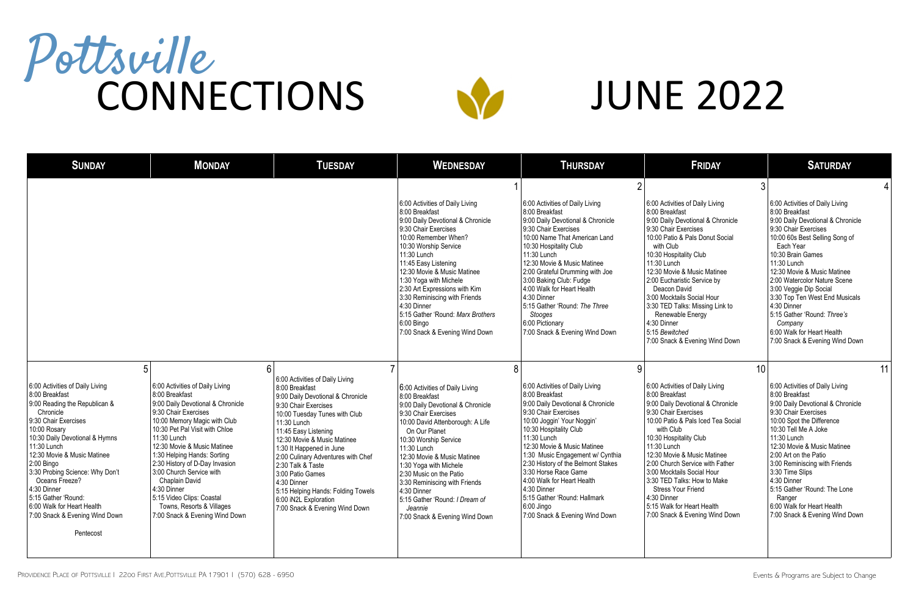| <b>SUNDAY</b>                                                                                                                                                                                                                                                                                                                                                                                                                                                                                                                                                                                                                                                                                                                                                                                                                                                                  | <b>MONDAY</b><br><b>TUESDAY</b>                                                                                                                                                                                                                                                                                                                                                                                                                       | <b>WEDNESDAY</b>                                                                                                                                                                                                                                                                                                                                                                                                                      | <b>THURSDAY</b>                                                                                                                                                                                                                                                                                                                                                                                                                                          | <b>FRIDAY</b>                                                                                                                                                                                                                                                                                                                                                                                                                                                    | <b>SATURDAY</b>                                                                                                                                                                                                                                                                                                                                                                                                                                       |
|--------------------------------------------------------------------------------------------------------------------------------------------------------------------------------------------------------------------------------------------------------------------------------------------------------------------------------------------------------------------------------------------------------------------------------------------------------------------------------------------------------------------------------------------------------------------------------------------------------------------------------------------------------------------------------------------------------------------------------------------------------------------------------------------------------------------------------------------------------------------------------|-------------------------------------------------------------------------------------------------------------------------------------------------------------------------------------------------------------------------------------------------------------------------------------------------------------------------------------------------------------------------------------------------------------------------------------------------------|---------------------------------------------------------------------------------------------------------------------------------------------------------------------------------------------------------------------------------------------------------------------------------------------------------------------------------------------------------------------------------------------------------------------------------------|----------------------------------------------------------------------------------------------------------------------------------------------------------------------------------------------------------------------------------------------------------------------------------------------------------------------------------------------------------------------------------------------------------------------------------------------------------|------------------------------------------------------------------------------------------------------------------------------------------------------------------------------------------------------------------------------------------------------------------------------------------------------------------------------------------------------------------------------------------------------------------------------------------------------------------|-------------------------------------------------------------------------------------------------------------------------------------------------------------------------------------------------------------------------------------------------------------------------------------------------------------------------------------------------------------------------------------------------------------------------------------------------------|
|                                                                                                                                                                                                                                                                                                                                                                                                                                                                                                                                                                                                                                                                                                                                                                                                                                                                                |                                                                                                                                                                                                                                                                                                                                                                                                                                                       | 6:00 Activities of Daily Living<br>8:00 Breakfast<br>9:00 Daily Devotional & Chronicle<br>9:30 Chair Exercises<br>10:00 Remember When?<br>10:30 Worship Service<br>11:30 Lunch<br>11:45 Easy Listening<br>12:30 Movie & Music Matinee<br>1:30 Yoga with Michele<br>2:30 Art Expressions with Kim<br>3:30 Reminiscing with Friends<br>4:30 Dinner<br>5:15 Gather 'Round: Marx Brothers<br>6:00 Bingo<br>7:00 Snack & Evening Wind Down | 6:00 Activities of Daily Living<br>8:00 Breakfast<br>9:00 Daily Devotional & Chronicle<br>9:30 Chair Exercises<br>10:00 Name That American Land<br>10:30 Hospitality Club<br>11:30 Lunch<br>12:30 Movie & Music Matinee<br>2:00 Grateful Drumming with Joe<br>3:00 Baking Club: Fudge<br>4:00 Walk for Heart Health<br>4:30 Dinner<br>5:15 Gather 'Round: The Three<br>Stooges<br>6:00 Pictionary<br>7:00 Snack & Evening Wind Down                      | 6:00 Activities of Daily Living<br>8:00 Breakfast<br>9:00 Daily Devotional & Chronicle<br>9:30 Chair Exercises<br>10:00 Patio & Pals Donut Social<br>with Club<br>10:30 Hospitality Club<br>11:30 Lunch<br>12:30 Movie & Music Matinee<br>2:00 Eucharistic Service by<br>Deacon David<br>3:00 Mocktails Social Hour<br>3:30 TED Talks: Missing Link to<br>Renewable Energy<br>4:30 Dinner<br>5:15 Bewitched<br>7:00 Snack & Evening Wind Down                    | 6:00 Activities of Daily Living<br>8:00 Breakfast<br>9:00 Daily Devotional & Chronicle<br>9:30 Chair Exercises<br>10:00 60s Best Selling Song of<br>Each Year<br>10:30 Brain Games<br>11:30 Lunch<br>12:30 Movie & Music Matinee<br>2:00 Watercolor Nature Scene<br>3:00 Veggie Dip Social<br>3:30 Top Ten West End Musicals<br>4:30 Dinner<br>5:15 Gather 'Round: Three's<br>Company<br>6:00 Walk for Heart Health<br>7:00 Snack & Evening Wind Down |
| 5<br>6:00 Activities of Daily Living<br>6:00 Activities of Daily Living<br>8:00 Breakfast<br>8:00 Breakfast<br>9:00 Daily Devotional & Chronicle<br>9:00 Reading the Republican &<br>9:30 Chair Exercises<br>Chronicle<br>9:30 Chair Exercises<br>10:00 Memory Magic with Club<br>10:30 Pet Pal Visit with Chloe<br>10:00 Rosary<br>10:30 Daily Devotional & Hymns<br>11:30 Lunch<br>11:30 Lunch<br>12:30 Movie & Music Matinee<br>12:30 Movie & Music Matinee<br>1:30 Helping Hands: Sorting<br>2:00 Bingo<br>2:30 History of D-Day Invasion<br>3:00 Church Service with<br>3:30 Probing Science: Why Don't<br>Oceans Freeze?<br>Chaplain David<br>4:30 Dinner<br>4:30 Dinner<br>5:15 Gather 'Round:<br>5:15 Video Clips: Coastal<br>6:00 Walk for Heart Health<br>Towns, Resorts & Villages<br>7:00 Snack & Evening Wind Down<br>7:00 Snack & Evening Wind Down<br>Pentecost | 6<br>6:00 Activities of Daily Living<br>8:00 Breakfast<br>9:00 Daily Devotional & Chronicle<br>9:30 Chair Exercises<br>10:00 Tuesday Tunes with Club<br>11:30 Lunch<br>11:45 Easy Listening<br>12:30 Movie & Music Matinee<br>1:30 It Happened in June<br>2:00 Culinary Adventures with Chef<br>2:30 Talk & Taste<br>3:00 Patio Games<br>4:30 Dinner<br>5:15 Helping Hands: Folding Towels<br>6:00 iN2L Exploration<br>7:00 Snack & Evening Wind Down | 6:00 Activities of Daily Living<br>8:00 Breakfast<br>9:00 Daily Devotional & Chronicle<br>9:30 Chair Exercises<br>10:00 David Attenborough: A Life<br>On Our Planet<br>10:30 Worship Service<br>11:30 Lunch<br>12:30 Movie & Music Matinee<br>1:30 Yoga with Michele<br>2:30 Music on the Patio<br>3:30 Reminiscing with Friends<br>4:30 Dinner<br>5:15 Gather 'Round: I Dream of<br>Jeannie<br>7:00 Snack & Evening Wind Down        | 8<br>6:00 Activities of Daily Living<br>8:00 Breakfast<br>9:00 Daily Devotional & Chronicle<br>9:30 Chair Exercises<br>10:00 Joggin' Your Noggin'<br>10:30 Hospitality Club<br>11:30 Lunch<br>12:30 Movie & Music Matinee<br>1:30 Music Engagement w/ Cynthia<br>2:30 History of the Belmont Stakes<br>3:30 Horse Race Game<br>4:00 Walk for Heart Health<br>4:30 Dinner<br>5:15 Gather 'Round: Hallmark<br>6:00 Jingo<br>7:00 Snack & Evening Wind Down | 10<br>O<br>6:00 Activities of Daily Living<br>8:00 Breakfast<br>9:00 Daily Devotional & Chronicle<br>9:30 Chair Exercises<br>10:00 Patio & Pals Iced Tea Social<br>with Club<br>10:30 Hospitality Club<br>11:30 Lunch<br>12:30 Movie & Music Matinee<br>2:00 Church Service with Father<br>3:00 Mocktails Social Hour<br>3:30 TED Talks: How to Make<br><b>Stress Your Friend</b><br>4:30 Dinner<br>5:15 Walk for Heart Health<br>7:00 Snack & Evening Wind Down | 11<br>6:00 Activities of Daily Living<br>8:00 Breakfast<br>9:00 Daily Devotional & Chronicle<br>9:30 Chair Exercises<br>10:00 Spot the Difference<br>10:30 Tell Me A Joke<br>11:30 Lunch<br>12:30 Movie & Music Matinee<br>2:00 Art on the Patio<br>3:00 Reminiscing with Friends<br>3:30 Time Slips<br>4:30 Dinner<br>5:15 Gather 'Round: The Lone<br>Ranger<br>6:00 Walk for Heart Health<br>7:00 Snack & Evening Wind Down                         |

## JUNE 2022

## Pottsville CONNECTIONS